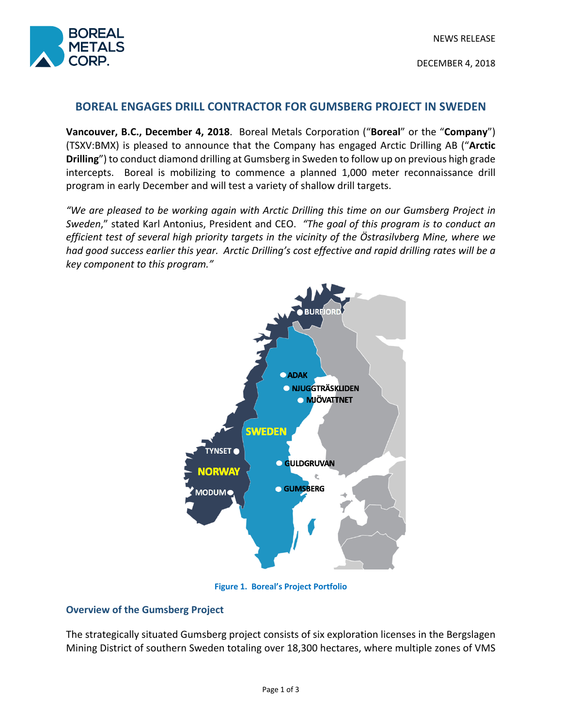

DECEMBER 4, 2018

# **BOREAL ENGAGES DRILL CONTRACTOR FOR GUMSBERG PROJECT IN SWEDEN**

**Vancouver, B.C., December 4, 2018**. Boreal Metals Corporation ("**Boreal**" or the "**Company**") (TSXV:BMX) is pleased to announce that the Company has engaged Arctic Drilling AB ("**Arctic Drilling**") to conduct diamond drilling at Gumsberg in Sweden to follow up on previous high grade intercepts. Boreal is mobilizing to commence a planned 1,000 meter reconnaissance drill program in early December and will test a variety of shallow drill targets.

*"We are pleased to be working again with Arctic Drilling this time on our Gumsberg Project in Sweden*," stated Karl Antonius, President and CEO. *"The goal of this program is to conduct an efficient test of several high priority targets in the vicinity of the Östrasilvberg Mine, where we had good success earlier this year. Arctic Drilling's cost effective and rapid drilling rates will be a key component to this program."*



#### **Figure 1. Boreal's Project Portfolio**

## **Overview of the Gumsberg Project**

The strategically situated Gumsberg project consists of six exploration licenses in the Bergslagen Mining District of southern Sweden totaling over 18,300 hectares, where multiple zones of VMS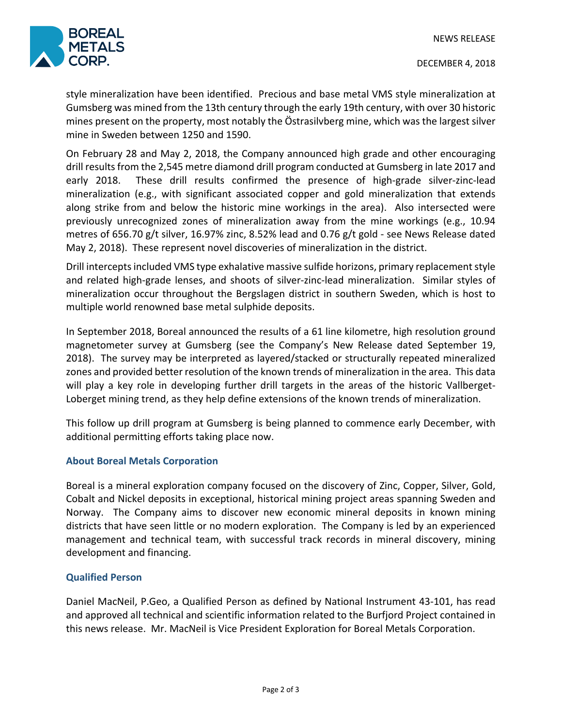

DECEMBER 4, 2018

style mineralization have been identified. Precious and base metal VMS style mineralization at Gumsberg was mined from the 13th century through the early 19th century, with over 30 historic mines present on the property, most notably the Östrasilvberg mine, which was the largest silver mine in Sweden between 1250 and 1590.

On February 28 and May 2, 2018, the Company announced high grade and other encouraging drill results from the 2,545 metre diamond drill program conducted at Gumsberg in late 2017 and early 2018. These drill results confirmed the presence of high-grade silver-zinc-lead mineralization (e.g., with significant associated copper and gold mineralization that extends along strike from and below the historic mine workings in the area). Also intersected were previously unrecognized zones of mineralization away from the mine workings (e.g., 10.94 metres of 656.70 g/t silver, 16.97% zinc, 8.52% lead and 0.76 g/t gold - see News Release dated May 2, 2018). These represent novel discoveries of mineralization in the district.

Drill intercepts included VMS type exhalative massive sulfide horizons, primary replacement style and related high-grade lenses, and shoots of silver-zinc-lead mineralization. Similar styles of mineralization occur throughout the Bergslagen district in southern Sweden, which is host to multiple world renowned base metal sulphide deposits.

In September 2018, Boreal announced the results of a 61 line kilometre, high resolution ground magnetometer survey at Gumsberg (see the Company's New Release dated September 19, 2018). The survey may be interpreted as layered/stacked or structurally repeated mineralized zones and provided better resolution of the known trends of mineralization in the area. This data will play a key role in developing further drill targets in the areas of the historic Vallberget-Loberget mining trend, as they help define extensions of the known trends of mineralization.

This follow up drill program at Gumsberg is being planned to commence early December, with additional permitting efforts taking place now.

## **About Boreal Metals Corporation**

Boreal is a mineral exploration company focused on the discovery of Zinc, Copper, Silver, Gold, Cobalt and Nickel deposits in exceptional, historical mining project areas spanning Sweden and Norway. The Company aims to discover new economic mineral deposits in known mining districts that have seen little or no modern exploration. The Company is led by an experienced management and technical team, with successful track records in mineral discovery, mining development and financing.

## **Qualified Person**

Daniel MacNeil, P.Geo, a Qualified Person as defined by National Instrument 43-101, has read and approved all technical and scientific information related to the Burfjord Project contained in this news release. Mr. MacNeil is Vice President Exploration for Boreal Metals Corporation.